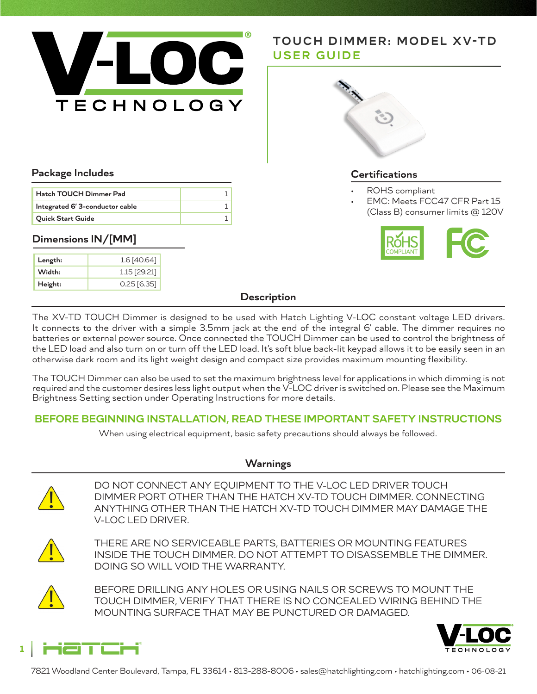

# **TOUCH DIMMER: MODEL XV-TD USER GUIDE**



### **Package Includes**

| Hatch TOUCH Dimmer Pad          |  |
|---------------------------------|--|
| Integrated 6' 3-conductor cable |  |
| <b>Quick Start Guide</b>        |  |

### **Dimensions IN/[MM]**

| Length: | 1.6 [40.64]    |
|---------|----------------|
| Width:  | $1.15$ [29.21] |
| Height: | $0.25$ [6.35]  |

#### **Certifications**

- ROHS compliant
- EMC: Meets FCC47 CFR Part 15 (Class B) consumer limits @ 120V



#### **Description**

The XV-TD TOUCH Dimmer is designed to be used with Hatch Lighting V-LOC constant voltage LED drivers. It connects to the driver with a simple 3.5mm jack at the end of the integral 6' cable. The dimmer requires no batteries or external power source. Once connected the TOUCH Dimmer can be used to control the brightness of the LED load and also turn on or turn off the LED load. It's soft blue back-lit keypad allows it to be easily seen in an otherwise dark room and its light weight design and compact size provides maximum mounting flexibility.

The TOUCH Dimmer can also be used to set the maximum brightness level for applications in which dimming is not required and the customer desires less light output when the V-LOC driver is switched on. Please see the Maximum Brightness Setting section under Operating Instructions for more details.

### **BEFORE BEGINNING INSTALLATION, READ THESE IMPORTANT SAFETY INSTRUCTIONS**

When using electrical equipment, basic safety precautions should always be followed.

### **Warnings**



DO NOT CONNECT ANY EQUIPMENT TO THE V-LOC LED DRIVER TOUCH DIMMER PORT OTHER THAN THE HATCH XV-TD TOUCH DIMMER. CONNECTING ANYTHING OTHER THAN THE HATCH XV-TD TOUCH DIMMER MAY DAMAGE THE V-LOC LED DRIVER.



THERE ARE NO SERVICEABLE PARTS, BATTERIES OR MOUNTING FEATURES INSIDE THE TOUCH DIMMER. DO NOT ATTEMPT TO DISASSEMBLE THE DIMMER. DOING SO WILL VOID THE WARRANTY.



BEFORE DRILLING ANY HOLES OR USING NAILS OR SCREWS TO MOUNT THE TOUCH DIMMER, VERIFY THAT THERE IS NO CONCEALED WIRING BEHIND THE MOUNTING SURFACE THAT MAY BE PUNCTURED OR DAMAGED.